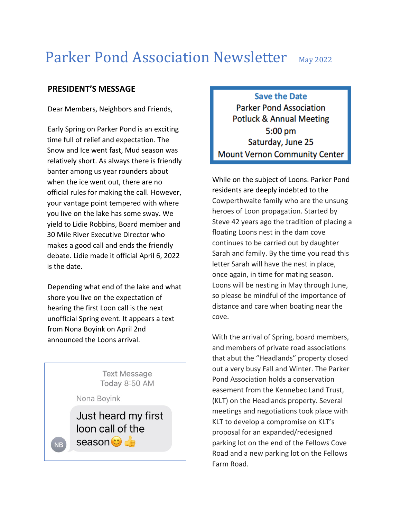# Parker Pond Association Newsletter May 2022

# **PRESIDENT'S MESSAGE**

Dear Members, Neighbors and Friends,

Early Spring on Parker Pond is an exciting time full of relief and expectation. The Snow and Ice went fast, Mud season was relatively short. As always there is friendly banter among us year rounders about when the ice went out, there are no official rules for making the call. However, your vantage point tempered with where you live on the lake has some sway. We yield to Lidie Robbins, Board member and 30 Mile River Executive Director who makes a good call and ends the friendly debate. Lidie made it official April 6, 2022 is the date.

Depending what end of the lake and what shore you live on the expectation of hearing the first Loon call is the next unofficial Spring event. It appears a text from Nona Boyink on April 2nd announced the Loons arrival.

**Text Message** Today 8:50 AM Nona Boyink Just heard my first loon call of the season of **NB** 

**Save the Date Parker Pond Association Potluck & Annual Meeting**  $5:00$  pm Saturday, June 25 **Mount Vernon Community Center** 

While on the subject of Loons. Parker Pond residents are deeply indebted to the Cowperthwaite family who are the unsung heroes of Loon propagation. Started by Steve 42 years ago the tradition of placing a floating Loons nest in the dam cove continues to be carried out by daughter Sarah and family. By the time you read this letter Sarah will have the nest in place, once again, in time for mating season. Loons will be nesting in May through June, so please be mindful of the importance of distance and care when boating near the cove.

With the arrival of Spring, board members, and members of private road associations that abut the "Headlands" property closed out a very busy Fall and Winter. The Parker Pond Association holds a conservation easement from the Kennebec Land Trust, (KLT) on the Headlands property. Several meetings and negotiations took place with KLT to develop a compromise on KLT's proposal for an expanded/redesigned parking lot on the end of the Fellows Cove Road and a new parking lot on the Fellows Farm Road.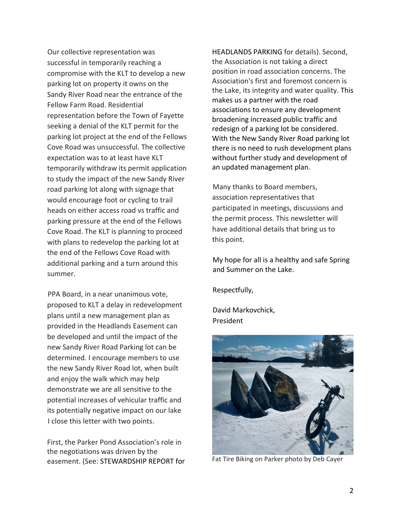Our collective representation was successful in temporarily reaching a compromise with the KLT to develop a new parking lot on property it owns on the Sandy River Road near the entrance of the Fellow Farm Road. Residential representation before the Town of Fayette seeking a denial of the KLT permit for the parking lot project at the end of the Fellows Cove Road was unsuccessful. The collective expectation was to at least have KLT temporarily withdraw its permit application to study the impact of the new Sandy River road parking lot along with signage that would encourage foot or cycling to trail heads on either access road vs traffic and parking pressure at the end of the Fellows Cove Road. The KLT is planning to proceed with plans to redevelop the parking lot at the end of the Fellows Cove Road with additional parking and a turn around this summer.

PPA Board, in a near unanimous vote, proposed to KLT a delay in redevelopment plans until a new management plan as provided in the Headlands Easement can be developed and until the impact of the new Sandy River Road Parking lot can be determined. I encourage members to use the new Sandy River Road lot, when built and enjoy the walk which may help demonstrate we are all sensitive to the potential increases of vehicular traffic and its potentially negative impact on our lake I close this letter with two points.

First, the Parker Pond Association's role in the negotiations was driven by the easement. (See: STEWARDSHIP REPORT for HEADLANDS PARKING for details). Second, the Association is not taking a direct position in road association concerns. The Association's first and foremost concern is the Lake, its integrity and water quality. This makes us a partner with the road associations to ensure any development broadening increased public traffic and redesign of a parking lot be considered. With the New Sandy River Road parking lot there is no need to rush development plans without further study and development of an updated management plan.

Many thanks to Board members, association representatives that participated in meetings, discussions and the permit process. This newsletter will have additional details that bring us to this point.

My hope for all is a healthy and safe Spring and Summer on the Lake.

Respectfully,

David Markovchick, President



Fat Tire Biking on Parker photo by Deb Cayer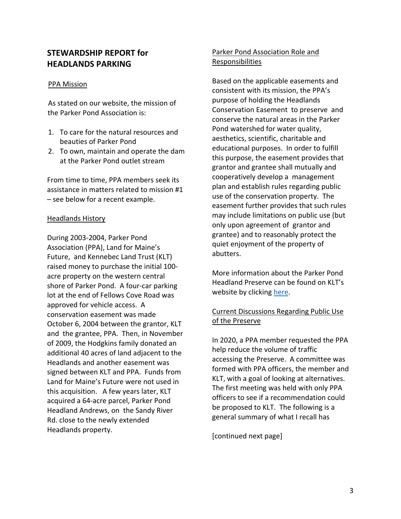# **STEWARDSHIP REPORT for HEADLANDS PARKING**

## PPA Mission

As stated on our website, the mission of the Parker Pond Association is:

- 1. To care for the natural resources and beauties of Parker Pond
- 2. To own, maintain and operate the dam at the Parker Pond outlet stream

From time to time, PPA members seek its assistance in matters related to mission #1 – see below for a recent example.

## Headlands History

During 2003-2004, Parker Pond Association (PPA), Land for Maine's Future, and Kennebec Land Trust (KLT) raised money to purchase the initial 100 acre property on the western central shore of Parker Pond. A four-car parking lot at the end of Fellows Cove Road was approved for vehicle access. A conservation easement was made October 6, 2004 between the grantor, KLT and the grantee, PPA. Then, in November of 2009, the Hodgkins family donated an additional 40 acres of land adjacent to the Headlands and another easement was signed between KLT and PPA. Funds from Land for Maine's Future were not used in this acquisition. A few years later, KLT acquired a 64-acre parcel, Parker Pond Headland Andrews, on the Sandy River Rd. close to the newly extended Headlands property.

# Parker Pond Association Role and Responsibilities

Based on the applicable easements and consistent with its mission, the PPA's purpose of holding the Headlands Conservation Easement to preserve and conserve the natural areas in the Parker Pond watershed for water quality, aesthetics, scientific, charitable and educational purposes. In order to fulfill this purpose, the easement provides that grantor and grantee shall mutually and cooperatively develop a management plan and establish rules regarding public use of the conservation property. The easement further provides that such rules may include limitations on public use (but only upon agreement of grantor and grantee) and to reasonably protect the quiet enjoyment of the property of abutters.

More information about the Parker Pond Headland Preserve can be found on KLT's website by clicking [here.](https://www.tklt.org/parker#:%7E:text=The%20Headland%20is%20owned%20by,of%20PPA%20and%20KLT%20volunteers.)

# Current Discussions Regarding Public Use of the Preserve

In 2020, a PPA member requested the PPA help reduce the volume of traffic accessing the Preserve. A committee was formed with PPA officers, the member and KLT, with a goal of looking at alternatives. The first meeting was held with only PPA officers to see if a recommendation could be proposed to KLT. The following is a general summary of what I recall has

[continued next page]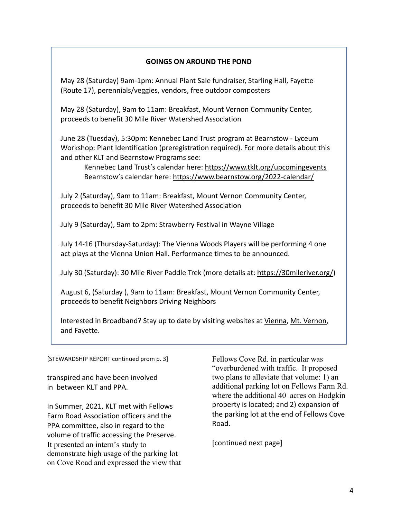## **GOINGS ON AROUND THE POND**

May 28 (Saturday) 9am-1pm: Annual Plant Sale fundraiser, Starling Hall, Fayette (Route 17), perennials/veggies, vendors, free outdoor composters

May 28 (Saturday), 9am to 11am: Breakfast, Mount Vernon Community Center, proceeds to benefit 30 Mile River Watershed Association

June 28 (Tuesday), 5:30pm: Kennebec Land Trust program at Bearnstow - Lyceum Workshop: Plant Identification (preregistration required). For more details about this and other KLT and Bearnstow Programs see:

Kennebec Land Trust's calendar here:<https://www.tklt.org/upcomingevents> Bearnstow's calendar here:<https://www.bearnstow.org/2022-calendar/>

July 2 (Saturday), 9am to 11am: Breakfast, Mount Vernon Community Center, proceeds to benefit 30 Mile River Watershed Association

July 9 (Saturday), 9am to 2pm: Strawberry Festival in Wayne Village

July 14-16 (Thursday-Saturday): The Vienna Woods Players will be performing 4 one act plays at the Vienna Union Hall. Performance times to be announced.

July 30 (Saturday): 30 Mile River Paddle Trek (more details at: [https://30mileriver.org/\)](https://30mileriver.org/)

August 6, (Saturday ), 9am to 11am: Breakfast, Mount Vernon Community Center, proceeds to benefit Neighbors Driving Neighbors

Interested in Broadband? Stay up to date by visiting websites at [Vienna,](https://www.viennamaine.org/index.php/content/Broadband_committee) [Mt. Vernon,](https://sites.google.com/view/mtvbroadbandinternetcommittee/home) and [Fayette.](https://www.fayettemaine.org/)

[STEWARDSHIP REPORT continued prom p. 3]

transpired and have been involved in between KLT and PPA.

In Summer, 2021, KLT met with Fellows Farm Road Association officers and the PPA committee, also in regard to the volume of traffic accessing the Preserve. It presented an intern's study to demonstrate high usage of the parking lot on Cove Road and expressed the view that

Fellows Cove Rd. in particular was "overburdened with traffic. It proposed two plans to alleviate that volume: 1) an additional parking lot on Fellows Farm Rd. where the additional 40 acres on Hodgkin property is located; and 2) expansion of the parking lot at the end of Fellows Cove Road.

[continued next page]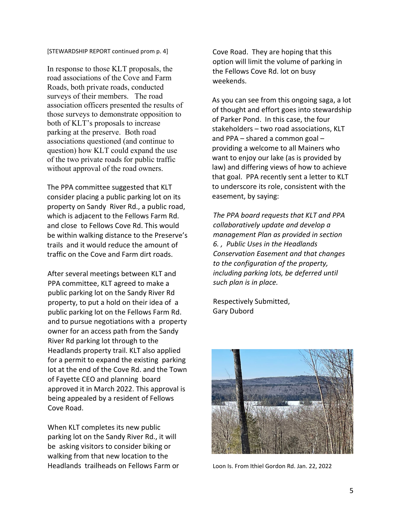#### [STEWARDSHIP REPORT continued prom p. 4]

In response to those KLT proposals, the road associations of the Cove and Farm Roads, both private roads, conducted surveys of their members. The road association officers presented the results of those surveys to demonstrate opposition to both of KLT's proposals to increase parking at the preserve. Both road associations questioned (and continue to question) how KLT could expand the use of the two private roads for public traffic without approval of the road owners.

The PPA committee suggested that KLT consider placing a public parking lot on its property on Sandy River Rd., a public road, which is adjacent to the Fellows Farm Rd. and close to Fellows Cove Rd. This would be within walking distance to the Preserve's trails and it would reduce the amount of traffic on the Cove and Farm dirt roads.

After several meetings between KLT and PPA committee, KLT agreed to make a public parking lot on the Sandy River Rd property, to put a hold on their idea of a public parking lot on the Fellows Farm Rd. and to pursue negotiations with a property owner for an access path from the Sandy River Rd parking lot through to the Headlands property trail. KLT also applied for a permit to expand the existing parking lot at the end of the Cove Rd. and the Town of Fayette CEO and planning board approved it in March 2022. This approval is being appealed by a resident of Fellows Cove Road.

When KLT completes its new public parking lot on the Sandy River Rd., it will be asking visitors to consider biking or walking from that new location to the Headlands trailheads on Fellows Farm or Cove Road. They are hoping that this option will limit the volume of parking in the Fellows Cove Rd. lot on busy weekends.

As you can see from this ongoing saga, a lot of thought and effort goes into stewardship of Parker Pond. In this case, the four stakeholders – two road associations, KLT and PPA – shared a common goal – providing a welcome to all Mainers who want to enjoy our lake (as is provided by law) and differing views of how to achieve that goal. PPA recently sent a letter to KLT to underscore its role, consistent with the easement, by saying:

*The PPA board requests that KLT and PPA collaboratively update and develop a management Plan as provided in section 6. , Public Uses in the Headlands Conservation Easement and that changes to the configuration of the property, including parking lots, be deferred until such plan is in place.* 

Respectively Submitted, Gary Dubord



Loon Is. From Ithiel Gordon Rd. Jan. 22, 2022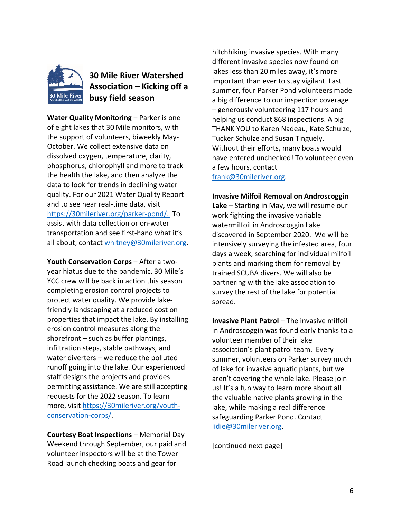

# **30 Mile River Watershed Association – Kicking off a busy field season**

**Water Quality Monitoring** – Parker is one of eight lakes that 30 Mile monitors, with the support of volunteers, biweekly May-October. We collect extensive data on dissolved oxygen, temperature, clarity, phosphorus, chlorophyll and more to track the health the lake, and then analyze the data to look for trends in declining water quality. For our 2021 Water Quality Report and to see near real-time data, visit [https://30mileriver.org/parker-pond/.](https://30mileriver.org/parker-pond/) To assist with data collection or on-water transportation and see first-hand what it's all about, contact [whitney@30mileriver.org.](mailto:whitney@30mileriver.org)

**Youth Conservation Corps** – After a twoyear hiatus due to the pandemic, 30 Mile's YCC crew will be back in action this season completing erosion control projects to protect water quality. We provide lakefriendly landscaping at a reduced cost on properties that impact the lake. By installing erosion control measures along the shorefront – such as buffer plantings, infiltration steps, stable pathways, and water diverters – we reduce the polluted runoff going into the lake. Our experienced staff designs the projects and provides permitting assistance. We are still accepting requests for the 2022 season. To learn more, visit [https://30mileriver.org/youth](https://30mileriver.org/youth-conservation-corps/)[conservation-corps/.](https://30mileriver.org/youth-conservation-corps/)

**Courtesy Boat Inspections** – Memorial Day Weekend through September, our paid and volunteer inspectors will be at the Tower Road launch checking boats and gear for

hitchhiking invasive species. With many different invasive species now found on lakes less than 20 miles away, it's more important than ever to stay vigilant. Last summer, four Parker Pond volunteers made a big difference to our inspection coverage – generously volunteering 117 hours and helping us conduct 868 inspections. A big THANK YOU to Karen Nadeau, Kate Schulze, Tucker Schulze and Susan Tinguely. Without their efforts, many boats would have entered unchecked! To volunteer even a few hours, contact [frank@30mileriver.org.](mailto:frank@30mileriver.org)

### **Invasive Milfoil Removal on Androscoggin**

**Lake –** Starting in May, we will resume our work fighting the invasive variable watermilfoil in Androscoggin Lake discovered in September 2020. We will be intensively surveying the infested area, four days a week, searching for individual milfoil plants and marking them for removal by trained SCUBA divers. We will also be partnering with the lake association to survey the rest of the lake for potential spread.

**Invasive Plant Patrol** – The invasive milfoil in Androscoggin was found early thanks to a volunteer member of their lake association's plant patrol team. Every summer, volunteers on Parker survey much of lake for invasive aquatic plants, but we aren't covering the whole lake. Please join us! It's a fun way to learn more about all the valuable native plants growing in the lake, while making a real difference safeguarding Parker Pond. Contact [lidie@30mileriver.org.](mailto:lidie@30mileriver.org)

[continued next page]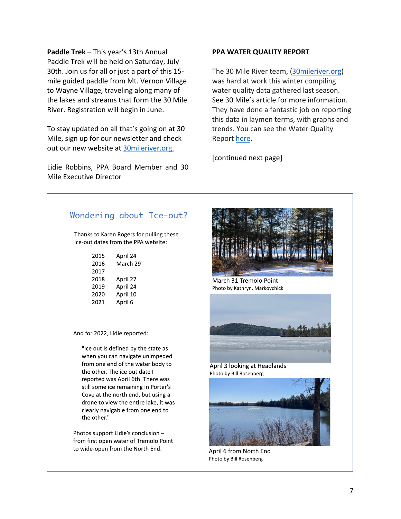**Paddle Trek** – This year's [13th Annual](https://r20.rs6.net/tn.jsp?f=0011UWrO0tHd5aO-4LUQoHKO-MQ_m1vJNTH-Wh7ZxKQAUNUv-VcsPjU6Y8MsAv8AsU043vkfP8vvUE22oZnZKjcHuSEpD3zIm17RghG-fVYn_EMf-nPTfBTz-cFJ_n9iTjxAgL7WBWx6FlXBc-0FY9x9Lleqe1Djx2p&c=9tS5fq_aao8oImunthd-xqbUa57cTvweJTLLFyFh-wG3_g6WN5Is2g==&ch=S8TEi46nCkofy2X2SiSEcu50T1LNgCftlmivenfPPLbvCBl1ye3uBg==)  [Paddle Trek](https://r20.rs6.net/tn.jsp?f=0011UWrO0tHd5aO-4LUQoHKO-MQ_m1vJNTH-Wh7ZxKQAUNUv-VcsPjU6Y8MsAv8AsU043vkfP8vvUE22oZnZKjcHuSEpD3zIm17RghG-fVYn_EMf-nPTfBTz-cFJ_n9iTjxAgL7WBWx6FlXBc-0FY9x9Lleqe1Djx2p&c=9tS5fq_aao8oImunthd-xqbUa57cTvweJTLLFyFh-wG3_g6WN5Is2g==&ch=S8TEi46nCkofy2X2SiSEcu50T1LNgCftlmivenfPPLbvCBl1ye3uBg==) will be held on Saturday, July 30th. Join us for all or just a part of this 15 mile guided paddle from Mt. Vernon Village to Wayne Village, traveling along many of the lakes and streams that form the 30 Mile River. Registration will begin in June.

To stay updated on all that's going on at 30 Mile, sign up for our newsletter and check out our new website at [30mileriver.org.](https://30mileriver.org/) 

Lidie Robbins, PPA Board Member and 30 Mile Executive Director

## **PPA WATER QUALITY REPORT**

The 30 Mile River team, [\(30mileriver.org\)](http://30mileriver.org/) was hard at work this winter compiling water quality data gathered last season. See 30 Mile's article for more information. They have done a fantastic job on reporting this data in laymen terms, with graphs and trends. You can see the Water Quality Report [here.](https://30mileriver.org/wp-content/uploads/2022/04/2021-Parker-Pond-WQ-Report.pdf)

[continued next page]

# Wondering about Ice-out?

Thanks to Karen Rogers for pulling these ice-out dates from the PPA website:

| 2015 | April 24 |
|------|----------|
| 2016 | March 29 |
| 2017 |          |
| 2018 | April 27 |
| 2019 | April 24 |
| 2020 | April 10 |
| 2021 | April 6  |
|      |          |

And for 2022, Lidie reported:

"Ice out is defined by the state as when you can navigate unimpeded from one end of the water body to the other. The ice out date I reported was April 6th. There was still some ice remaining in Porter's Cove at the north end, but using a drone to view the entire lake, it was clearly navigable from one end to the other."

Photos support Lidie's conclusion from first open water of Tremolo Point to wide-open from the North End.



March 31 Tremolo Point Photo by Kathryn. Markovchick



April 3 looking at Headlands Photo by Bill Rosenberg



April 6 from North End Photo by Bill Rosenberg